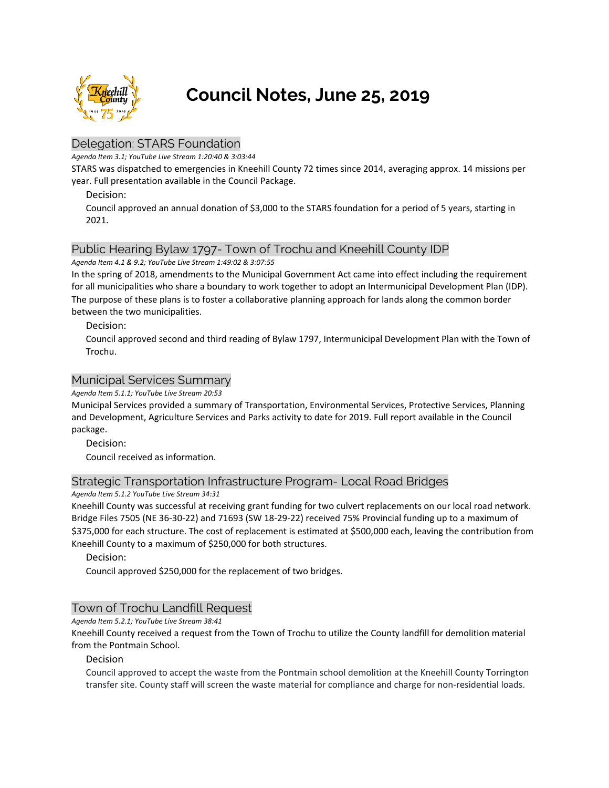

# **Council Notes, June 25, 2019**

# Delegation: STARS Foundation

*Agenda Item 3.1; YouTube Live Stream 1:20:40 & 3:03:44*

STARS was dispatched to emergencies in Kneehill County 72 times since 2014, averaging approx. 14 missions per year. Full presentation available in the Council Package.

Decision:

Council approved an annual donation of \$3,000 to the STARS foundation for a period of 5 years, starting in 2021.

# Public Hearing Bylaw 1797- Town of Trochu and Kneehill County IDP

*Agenda Item 4.1 & 9.2; YouTube Live Stream 1:49:02 & 3:07:55*

In the spring of 2018, amendments to the Municipal Government Act came into effect including the requirement for all municipalities who share a boundary to work together to adopt an Intermunicipal Development Plan (IDP). The purpose of these plans is to foster a collaborative planning approach for lands along the common border between the two municipalities.

Decision:

Council approved second and third reading of Bylaw 1797, Intermunicipal Development Plan with the Town of Trochu.

# Municipal Services Summary

*Agenda Item 5.1.1; YouTube Live Stream 20:53*

Municipal Services provided a summary of Transportation, Environmental Services, Protective Services, Planning and Development, Agriculture Services and Parks activity to date for 2019. Full report available in the Council package.

Decision:

Council received as information.

# Strategic Transportation Infrastructure Program- Local Road Bridges

*Agenda Item 5.1.2 YouTube Live Stream 34:31*

Kneehill County was successful at receiving grant funding for two culvert replacements on our local road network. Bridge Files 7505 (NE 36-30-22) and 71693 (SW 18-29-22) received 75% Provincial funding up to a maximum of \$375,000 for each structure. The cost of replacement is estimated at \$500,000 each, leaving the contribution from Kneehill County to a maximum of \$250,000 for both structures.

Decision:

Council approved \$250,000 for the replacement of two bridges.

# Town of Trochu Landfill Request

*Agenda Item 5.2.1; YouTube Live Stream 38:41*

Kneehill County received a request from the Town of Trochu to utilize the County landfill for demolition material from the Pontmain School.

#### Decision

Council approved to accept the waste from the Pontmain school demolition at the Kneehill County Torrington transfer site. County staff will screen the waste material for compliance and charge for non-residential loads.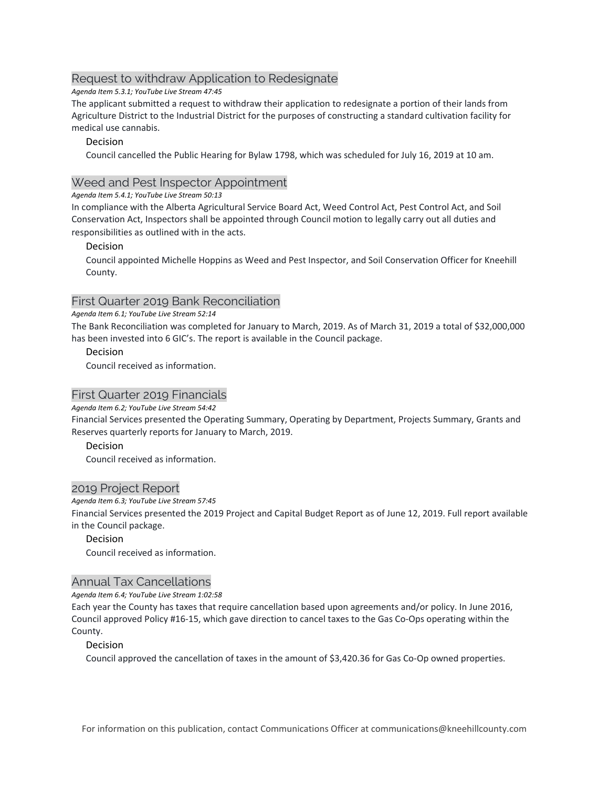# Request to withdraw Application to Redesignate

*Agenda Item 5.3.1; YouTube Live Stream 47:45*

The applicant submitted a request to withdraw their application to redesignate a portion of their lands from Agriculture District to the Industrial District for the purposes of constructing a standard cultivation facility for medical use cannabis.

## Decision

Council cancelled the Public Hearing for Bylaw 1798, which was scheduled for July 16, 2019 at 10 am.

# Weed and Pest Inspector Appointment

*Agenda Item 5.4.1; YouTube Live Stream 50:13*

In compliance with the Alberta Agricultural Service Board Act, Weed Control Act, Pest Control Act, and Soil Conservation Act, Inspectors shall be appointed through Council motion to legally carry out all duties and responsibilities as outlined with in the acts.

## Decision

Council appointed Michelle Hoppins as Weed and Pest Inspector, and Soil Conservation Officer for Kneehill County.

# First Quarter 2019 Bank Reconciliation

#### *Agenda Item 6.1; YouTube Live Stream 52:14*

The Bank Reconciliation was completed for January to March, 2019. As of March 31, 2019 a total of \$32,000,000 has been invested into 6 GIC's. The report is available in the Council package.

## Decision

Council received as information.

# First Quarter 2019 Financials

*Agenda Item 6.2; YouTube Live Stream 54:42*

Financial Services presented the Operating Summary, Operating by Department, Projects Summary, Grants and Reserves quarterly reports for January to March, 2019.

# Decision

Council received as information.

# 2019 Project Report

#### *Agenda Item 6.3; YouTube Live Stream 57:45*

Financial Services presented the 2019 Project and Capital Budget Report as of June 12, 2019. Full report available in the Council package.

# Decision

Council received as information.

# Annual Tax Cancellations

#### *Agenda Item 6.4; YouTube Live Stream 1:02:58*

Each year the County has taxes that require cancellation based upon agreements and/or policy. In June 2016, Council approved Policy #16-15, which gave direction to cancel taxes to the Gas Co-Ops operating within the County.

#### Decision

Council approved the cancellation of taxes in the amount of \$3,420.36 for Gas Co-Op owned properties.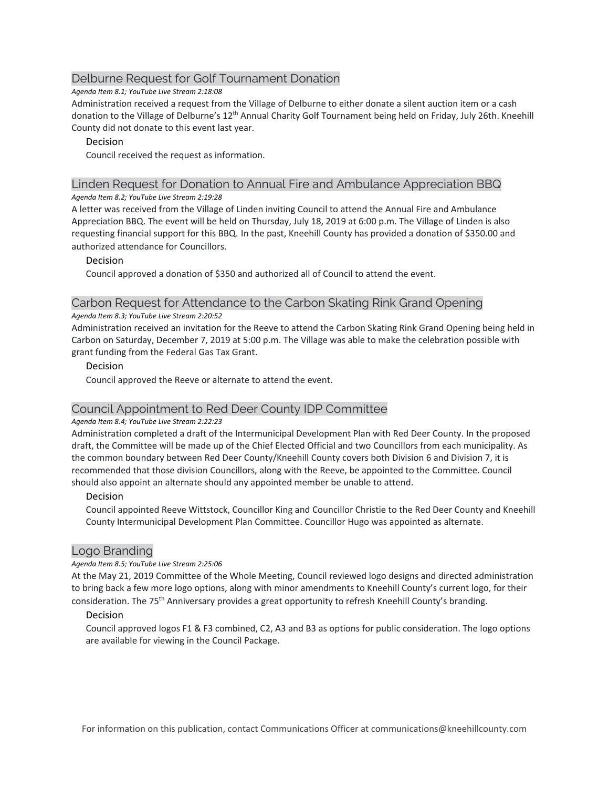# Delburne Request for Golf Tournament Donation

*Agenda Item 8.1; YouTube Live Stream 2:18:08*

Administration received a request from the Village of Delburne to either donate a silent auction item or a cash donation to the Village of Delburne's 12th Annual Charity Golf Tournament being held on Friday, July 26th. Kneehill County did not donate to this event last year.

## Decision

Council received the request as information.

#### Linden Request for Donation to Annual Fire and Ambulance Appreciation BBQ *Agenda Item 8.2; YouTube Live Stream 2:19:28*

A letter was received from the Village of Linden inviting Council to attend the Annual Fire and Ambulance Appreciation BBQ. The event will be held on Thursday, July 18, 2019 at 6:00 p.m. The Village of Linden is also requesting financial support for this BBQ. In the past, Kneehill County has provided a donation of \$350.00 and authorized attendance for Councillors.

## Decision

Council approved a donation of \$350 and authorized all of Council to attend the event.

## Carbon Request for Attendance to the Carbon Skating Rink Grand Opening

#### *Agenda Item 8.3; YouTube Live Stream 2:20:52*

Administration received an invitation for the Reeve to attend the Carbon Skating Rink Grand Opening being held in Carbon on Saturday, December 7, 2019 at 5:00 p.m. The Village was able to make the celebration possible with grant funding from the Federal Gas Tax Grant.

## Decision

Council approved the Reeve or alternate to attend the event.

# Council Appointment to Red Deer County IDP Committee

#### *Agenda Item 8.4; YouTube Live Stream 2:22:23*

Administration completed a draft of the Intermunicipal Development Plan with Red Deer County. In the proposed draft, the Committee will be made up of the Chief Elected Official and two Councillors from each municipality. As the common boundary between Red Deer County/Kneehill County covers both Division 6 and Division 7, it is recommended that those division Councillors, along with the Reeve, be appointed to the Committee. Council should also appoint an alternate should any appointed member be unable to attend.

#### Decision

Council appointed Reeve Wittstock, Councillor King and Councillor Christie to the Red Deer County and Kneehill County Intermunicipal Development Plan Committee. Councillor Hugo was appointed as alternate.

# Logo Branding

#### *Agenda Item 8.5; YouTube Live Stream 2:25:06*

At the May 21, 2019 Committee of the Whole Meeting, Council reviewed logo designs and directed administration to bring back a few more logo options, along with minor amendments to Kneehill County's current logo, for their consideration. The 75<sup>th</sup> Anniversary provides a great opportunity to refresh Kneehill County's branding.

#### Decision

Council approved logos F1 & F3 combined, C2, A3 and B3 as options for public consideration. The logo options are available for viewing in the Council Package.